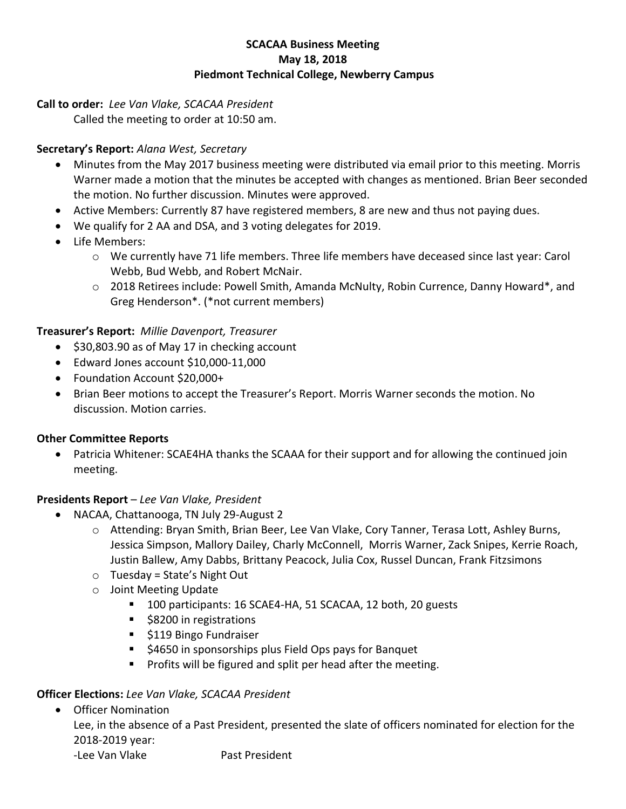#### **SCACAA Business Meeting May 18, 2018 Piedmont Technical College, Newberry Campus**

## **Call to order:** *Lee Van Vlake, SCACAA President*

Called the meeting to order at 10:50 am.

# **Secretary's Report:** *Alana West, Secretary*

- Minutes from the May 2017 business meeting were distributed via email prior to this meeting. Morris Warner made a motion that the minutes be accepted with changes as mentioned. Brian Beer seconded the motion. No further discussion. Minutes were approved.
- Active Members: Currently 87 have registered members, 8 are new and thus not paying dues.
- We qualify for 2 AA and DSA, and 3 voting delegates for 2019.
- Life Members:
	- o We currently have 71 life members. Three life members have deceased since last year: Carol Webb, Bud Webb, and Robert McNair.
	- o 2018 Retirees include: Powell Smith, Amanda McNulty, Robin Currence, Danny Howard\*, and Greg Henderson\*. (\*not current members)

### **Treasurer's Report:** *Millie Davenport, Treasurer*

- \$30,803.90 as of May 17 in checking account
- Edward Jones account \$10,000-11,000
- Foundation Account \$20,000+
- Brian Beer motions to accept the Treasurer's Report. Morris Warner seconds the motion. No discussion. Motion carries.

### **Other Committee Reports**

• Patricia Whitener: SCAE4HA thanks the SCAAA for their support and for allowing the continued join meeting.

### **Presidents Report** – *Lee Van Vlake, President*

- NACAA, Chattanooga, TN July 29-August 2
	- o Attending: Bryan Smith, Brian Beer, Lee Van Vlake, Cory Tanner, Terasa Lott, Ashley Burns, Jessica Simpson, Mallory Dailey, Charly McConnell, Morris Warner, Zack Snipes, Kerrie Roach, Justin Ballew, Amy Dabbs, Brittany Peacock, Julia Cox, Russel Duncan, Frank Fitzsimons
	- $\circ$  Tuesday = State's Night Out
	- o Joint Meeting Update
		- 100 participants: 16 SCAE4-HA, 51 SCACAA, 12 both, 20 guests
		- \$8200 in registrations
		- \$119 Bingo Fundraiser
		- \$4650 in sponsorships plus Field Ops pays for Banquet
		- Profits will be figured and split per head after the meeting.

### **Officer Elections:** *Lee Van Vlake, SCACAA President*

• Officer Nomination

Lee, in the absence of a Past President, presented the slate of officers nominated for election for the 2018-2019 year:

-Lee Van Vlake Past President